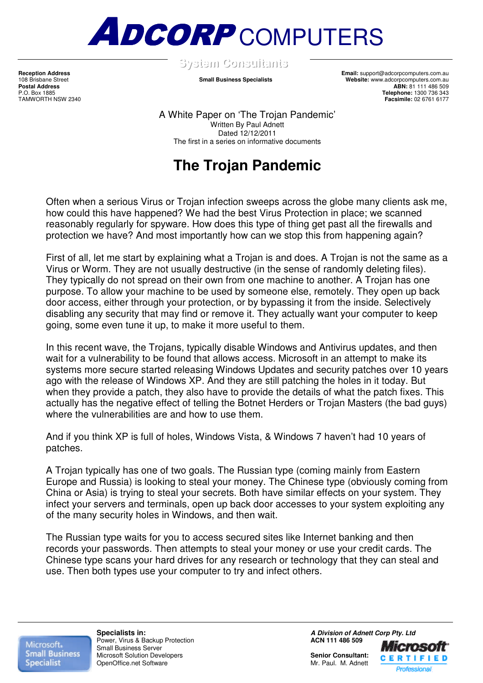

**SSyysstteemmCCoonnssuullttaannttss** .

**Reception Address Email:** support@adcorpcomputers.com.au 108 Brisbane Street **Small Business Specialists Website:** www.adcorpcomputers.com.au Postal Address<br>
Postal Address<br>
P.O. Box 1885<br>
P.O. Box 1885 P.O. Box 1885 **Telephone:** 1300 736 343 **Facsimile:** 02 6761 6177

> A White Paper on 'The Trojan Pandemic' Written By Paul Adnett Dated 12/12/2011 The first in a series on informative documents

# **The Trojan Pandemic**

Often when a serious Virus or Trojan infection sweeps across the globe many clients ask me, how could this have happened? We had the best Virus Protection in place; we scanned reasonably regularly for spyware. How does this type of thing get past all the firewalls and protection we have? And most importantly how can we stop this from happening again?

First of all, let me start by explaining what a Trojan is and does. A Trojan is not the same as a Virus or Worm. They are not usually destructive (in the sense of randomly deleting files). They typically do not spread on their own from one machine to another. A Trojan has one purpose. To allow your machine to be used by someone else, remotely. They open up back door access, either through your protection, or by bypassing it from the inside. Selectively disabling any security that may find or remove it. They actually want your computer to keep going, some even tune it up, to make it more useful to them.

In this recent wave, the Trojans, typically disable Windows and Antivirus updates, and then wait for a vulnerability to be found that allows access. Microsoft in an attempt to make its systems more secure started releasing Windows Updates and security patches over 10 years ago with the release of Windows XP. And they are still patching the holes in it today. But when they provide a patch, they also have to provide the details of what the patch fixes. This actually has the negative effect of telling the Botnet Herders or Trojan Masters (the bad guys) where the vulnerabilities are and how to use them.

And if you think XP is full of holes, Windows Vista, & Windows 7 haven't had 10 years of patches.

A Trojan typically has one of two goals. The Russian type (coming mainly from Eastern Europe and Russia) is looking to steal your money. The Chinese type (obviously coming from China or Asia) is trying to steal your secrets. Both have similar effects on your system. They infect your servers and terminals, open up back door accesses to your system exploiting any of the many security holes in Windows, and then wait.

The Russian type waits for you to access secured sites like Internet banking and then records your passwords. Then attempts to steal your money or use your credit cards. The Chinese type scans your hard drives for any research or technology that they can steal and use. Then both types use your computer to try and infect others.

Microsoft. **Small Business Specialist** 

**Power, Virus & Backup Protection** Small Business Server Microsoft Solution Developers **Senior Consultant:**  OpenOffice.net Software

**Specialists in: A Division of Adnett Corp Pty. Ltd Prover.** Virus & Backup Protection **Administration COV ACN 111 486 509** 

Microsofi **CERTIFIED** Professional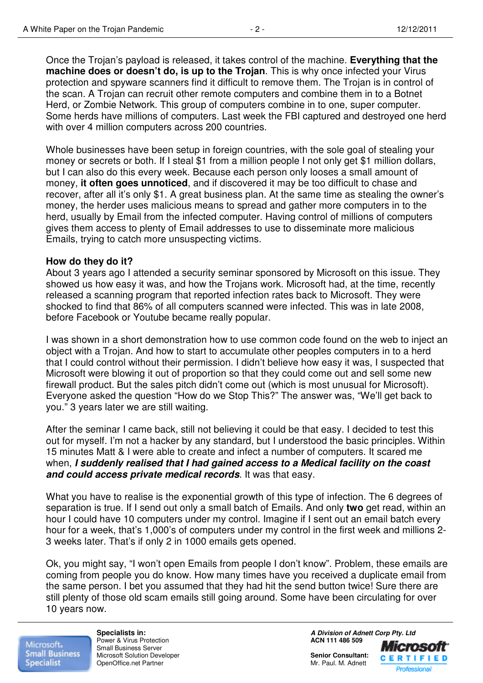Once the Trojan's payload is released, it takes control of the machine. **Everything that the machine does or doesn't do, is up to the Trojan**. This is why once infected your Virus protection and spyware scanners find it difficult to remove them. The Trojan is in control of the scan. A Trojan can recruit other remote computers and combine them in to a Botnet Herd, or Zombie Network. This group of computers combine in to one, super computer. Some herds have millions of computers. Last week the FBI captured and destroyed one herd with over 4 million computers across 200 countries.

Whole businesses have been setup in foreign countries, with the sole goal of stealing your money or secrets or both. If I steal \$1 from a million people I not only get \$1 million dollars, but I can also do this every week. Because each person only looses a small amount of money, **it often goes unnoticed**, and if discovered it may be too difficult to chase and recover, after all it's only \$1. A great business plan. At the same time as stealing the owner's money, the herder uses malicious means to spread and gather more computers in to the herd, usually by Email from the infected computer. Having control of millions of computers gives them access to plenty of Email addresses to use to disseminate more malicious Emails, trying to catch more unsuspecting victims.

#### **How do they do it?**

About 3 years ago I attended a security seminar sponsored by Microsoft on this issue. They showed us how easy it was, and how the Trojans work. Microsoft had, at the time, recently released a scanning program that reported infection rates back to Microsoft. They were shocked to find that 86% of all computers scanned were infected. This was in late 2008, before Facebook or Youtube became really popular.

I was shown in a short demonstration how to use common code found on the web to inject an object with a Trojan. And how to start to accumulate other peoples computers in to a herd that I could control without their permission. I didn't believe how easy it was, I suspected that Microsoft were blowing it out of proportion so that they could come out and sell some new firewall product. But the sales pitch didn't come out (which is most unusual for Microsoft). Everyone asked the question "How do we Stop This?" The answer was, "We'll get back to you." 3 years later we are still waiting.

After the seminar I came back, still not believing it could be that easy. I decided to test this out for myself. I'm not a hacker by any standard, but I understood the basic principles. Within 15 minutes Matt & I were able to create and infect a number of computers. It scared me when, **I suddenly realised that I had gained access to a Medical facility on the coast and could access private medical records**. It was that easy.

What you have to realise is the exponential growth of this type of infection. The 6 degrees of separation is true. If I send out only a small batch of Emails. And only **two** get read, within an hour I could have 10 computers under my control. Imagine if I sent out an email batch every hour for a week, that's 1,000's of computers under my control in the first week and millions 2- 3 weeks later. That's if only 2 in 1000 emails gets opened.

Ok, you might say, "I won't open Emails from people I don't know". Problem, these emails are coming from people you do know. How many times have you received a duplicate email from the same person. I bet you assumed that they had hit the send button twice! Sure there are still plenty of those old scam emails still going around. Some have been circulating for over 10 years now.

Microsoft. **Small Business Specialist** 

**Power & Virus Protection** Small Business Server Microsoft Solution Developer **Senior Consultant:**<br>
OpenOffice.net Partner **Senior Consultant: Senior Consultant: Senior Consultant: Senior Consultant: Senior Consultant: Senior Consultant: Senior Consultant:** OpenOffice.net Partner

**Specialists in: A Division of Adnett Corp Pty. Ltd Power & Virus Protection**<br> **A Division of Adnett Corp Pty. Ltd Power & Virus Protection** 

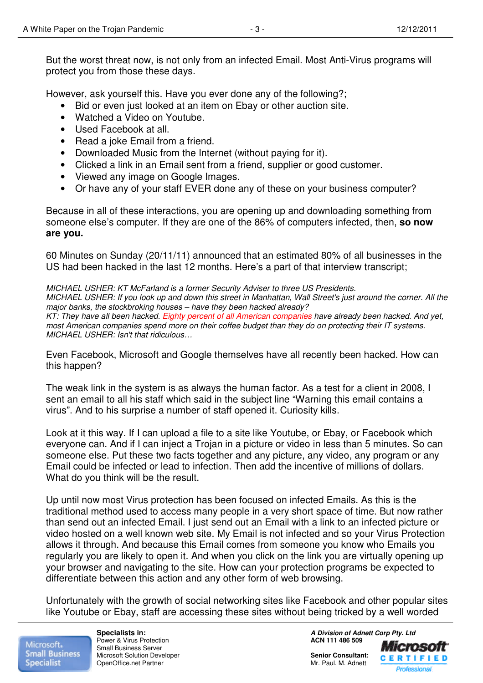However, ask yourself this. Have you ever done any of the following?;

- Bid or even just looked at an item on Ebay or other auction site.
- Watched a Video on Youtube.
- Used Facebook at all.
- Read a joke Email from a friend.
- Downloaded Music from the Internet (without paying for it).
- Clicked a link in an Email sent from a friend, supplier or good customer.
- Viewed any image on Google Images.
- Or have any of your staff EVER done any of these on your business computer?

Because in all of these interactions, you are opening up and downloading something from someone else's computer. If they are one of the 86% of computers infected, then, **so now are you.** 

60 Minutes on Sunday (20/11/11) announced that an estimated 80% of all businesses in the US had been hacked in the last 12 months. Here's a part of that interview transcript;

MICHAEL USHER: KT McFarland is a former Security Adviser to three US Presidents. MICHAEL USHER: If you look up and down this street in Manhattan, Wall Street's just around the corner. All the major banks, the stockbroking houses – have they been hacked already? KT: They have all been hacked. Eighty percent of all American companies have already been hacked. And vet. most American companies spend more on their coffee budget than they do on protecting their IT systems. MICHAEL USHER: Isn't that ridiculous…

Even Facebook, Microsoft and Google themselves have all recently been hacked. How can this happen?

The weak link in the system is as always the human factor. As a test for a client in 2008, I sent an email to all his staff which said in the subject line "Warning this email contains a virus". And to his surprise a number of staff opened it. Curiosity kills.

Look at it this way. If I can upload a file to a site like Youtube, or Ebay, or Facebook which everyone can. And if I can inject a Trojan in a picture or video in less than 5 minutes. So can someone else. Put these two facts together and any picture, any video, any program or any Email could be infected or lead to infection. Then add the incentive of millions of dollars. What do you think will be the result.

Up until now most Virus protection has been focused on infected Emails. As this is the traditional method used to access many people in a very short space of time. But now rather than send out an infected Email. I just send out an Email with a link to an infected picture or video hosted on a well known web site. My Email is not infected and so your Virus Protection allows it through. And because this Email comes from someone you know who Emails you regularly you are likely to open it. And when you click on the link you are virtually opening up your browser and navigating to the site. How can your protection programs be expected to differentiate between this action and any other form of web browsing.

Unfortunately with the growth of social networking sites like Facebook and other popular sites like Youtube or Ebay, staff are accessing these sites without being tricked by a well worded

Microsoft. **Small Business Specialist** 

**Power & Virus Protection** Small Business Server Microsoft Solution Developer **Senior Consultant: Senior Consultant: Consultant: Consultant: Consultant: Consultant: Consultant: Consultant: Consultant: Consultant: Consultant: Consultant: Consultant** OpenOffice.net Partner

**Specialists in: A Division of Adnett Corp Pty. Ltd Power & Virus Protection**<br> **A Division of Adnett Corp Pty. Ltd Power & Virus Protection** Microsoft

Professional

**CERTIFIED**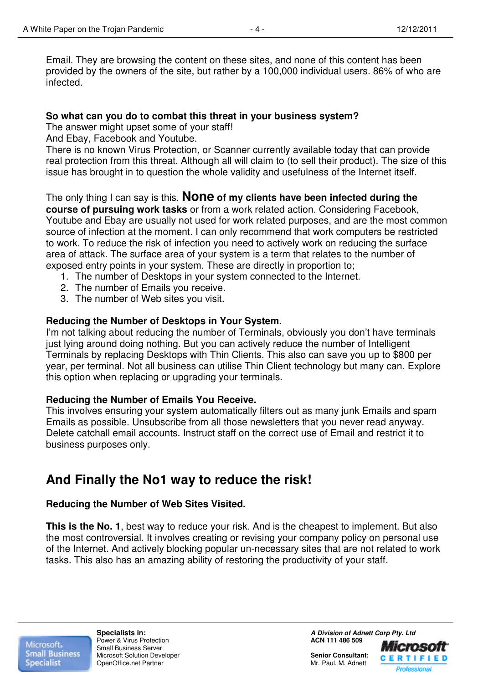Email. They are browsing the content on these sites, and none of this content has been provided by the owners of the site, but rather by a 100,000 individual users. 86% of who are infected.

#### **So what can you do to combat this threat in your business system?**

The answer might upset some of your staff!

And Ebay, Facebook and Youtube.

There is no known Virus Protection, or Scanner currently available today that can provide real protection from this threat. Although all will claim to (to sell their product). The size of this issue has brought in to question the whole validity and usefulness of the Internet itself.

## The only thing I can say is this. **None of my clients have been infected during the**

**course of pursuing work tasks** or from a work related action. Considering Facebook, Youtube and Ebay are usually not used for work related purposes, and are the most common source of infection at the moment. I can only recommend that work computers be restricted to work. To reduce the risk of infection you need to actively work on reducing the surface area of attack. The surface area of your system is a term that relates to the number of exposed entry points in your system. These are directly in proportion to;

- 1. The number of Desktops in your system connected to the Internet.
- 2. The number of Emails you receive.
- 3. The number of Web sites you visit.

#### **Reducing the Number of Desktops in Your System.**

I'm not talking about reducing the number of Terminals, obviously you don't have terminals just lying around doing nothing. But you can actively reduce the number of Intelligent Terminals by replacing Desktops with Thin Clients. This also can save you up to \$800 per year, per terminal. Not all business can utilise Thin Client technology but many can. Explore this option when replacing or upgrading your terminals.

#### **Reducing the Number of Emails You Receive.**

This involves ensuring your system automatically filters out as many junk Emails and spam Emails as possible. Unsubscribe from all those newsletters that you never read anyway. Delete catchall email accounts. Instruct staff on the correct use of Email and restrict it to business purposes only.

# **And Finally the No1 way to reduce the risk!**

#### **Reducing the Number of Web Sites Visited.**

**This is the No. 1**, best way to reduce your risk. And is the cheapest to implement. But also the most controversial. It involves creating or revising your company policy on personal use of the Internet. And actively blocking popular un-necessary sites that are not related to work tasks. This also has an amazing ability of restoring the productivity of your staff.

Microsoft. **Small Business Specialist** 

**Power & Virus Protection** Small Business Server Microsoft Solution Developer **Senior Consultant: Senior Consultant: Consultant: Consultant: Consultant: Consultant: Consultant: Consultant: Consultant: Consultant: Consultant: Consultant: Consultant** OpenOffice.net Partner

**Specialists in: A Division of Adnett Corp Pty. Ltd Power & Virus Protection**<br> **A Division of Adnett Corp Pty. Ltd Power & Virus Protection**